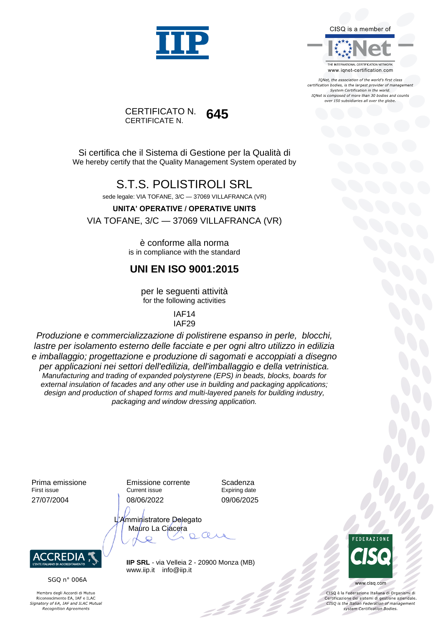

CISQ is a member of

IONet, the association of the world's first class certification bodies, is the largest provider of management System Certification in the world. IQNet is composed of more than 30 bodies and counts over 150 subsidiaries all over the globe.

www.iqnet-certification.com

CERTIFICATO N. CERTIFICATE N. **645**

Si certifica che il Sistema di Gestione per la Qualità di We hereby certify that the Quality Management System operated by

#### S.T.S. POLISTIROLI SRL

sede legale: VIA TOFANE, 3/C — 37069 VILLAFRANCA (VR)

**UNITA' OPERATIVE / OPERATIVE UNITS**

VIA TOFANE, 3/C — 37069 VILLAFRANCA (VR)

è conforme alla norma is in compliance with the standard

#### **UNI EN ISO 9001:2015**

per le seguenti attività for the following activities

> IAF14 IAF29

*Produzione e commercializzazione di polistirene espanso in perle, blocchi, lastre per isolamento esterno delle facciate e per ogni altro utilizzo in edilizia e imballaggio; progettazione e produzione di sagomati e accoppiati a disegno per applicazioni nei settori dell'edilizia, dell'imballaggio e della vetrinistica. Manufacturing and trading of expanded polystyrene (EPS) in beads, blocks, boards for external insulation of facades and any other use in building and packaging applications; design and production of shaped forms and multi-layered panels for building industry, packaging and window dressing application.*

Prima emissione First issue 27/07/2004

Emissione corrente Current issue 08/06/2022

Scadenza Expiring date 09/06/2025

L'Amministratore Delegato Mauro La Ciacera  $\subset \circ$  $\boldsymbol{\mathcal{Q}}$ 



SGQ n° 006A

Membro degli Accordi di Mutuo Riconoscimento EA, IAF e ILAC<br>Signatory of EA, IAF and ILAC Mutual **Recognition Agreements** 

**IIP SRL** - via Velleia 2 - 20900 Monza (MB) www.iip.it info@iip.it



www.cisq.com

CISQ è la Federazione Italiana di Organismi di Certificazione dei sistemi di gestione aziendale.<br>CISQ is the Italian Federation of management system Certification Bodies